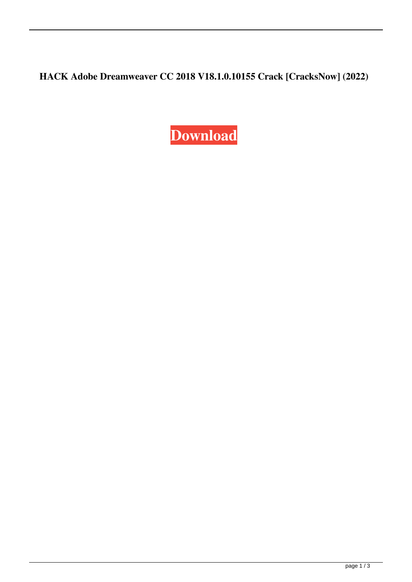**HACK Adobe Dreamweaver CC 2018 V18.1.0.10155 Crack [CracksNow] (2022)**

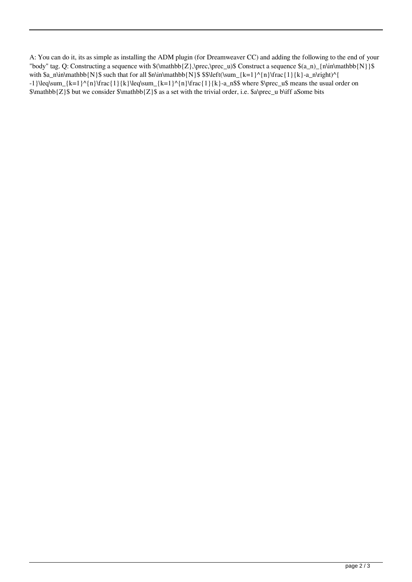A: You can do it, its as simple as installing the ADM plugin (for Dreamweaver CC) and adding the following to the end of your "body" tag. Q: Constructing a sequence with  $(\mathbb{Z},\prec)$  Construct a sequence  $(a_n)_{n\in\mathbb{N}}$ with  $a_n\in\mathbb{N}$  such that for all  $\min\mathbb{N}$  \$  $\scriptstyle\frac{N}{3}$   $\scriptstyle\frac{N}{3}$   $\scriptstyle\frac{N}{3}$   $\scriptstyle\frac{N-1}{N}\frac{1}{N}\frac{1}{k}-a_n\right)^{1/2}$ -1}\leq\sum\_{k=1}^{n}\frac{1}{k}\leq\sum\_{k=1}^{n}\frac{1}{k}-a\_n\$\$ where \$\prec\_u\$ means the usual order on \$\mathbb{Z}\$ but we consider \$\mathbb{Z}\$ as a set with the trivial order, i.e. \$a\prec\_u b\iff aSome bits